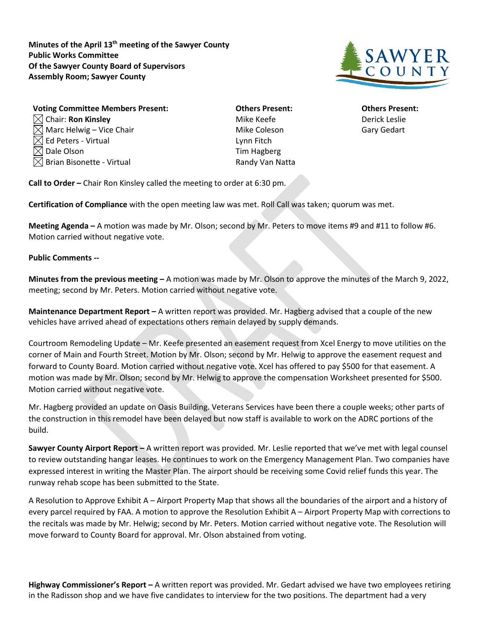**Minutes of the April 13th meeting of the Sawyer County Public Works Committee Of the Sawyer County Board of Supervisors Assembly Room; Sawyer County**



| <b>Voting Committee Members Present:</b> | <b>Others Present:</b> | <b>Others Prese</b> |
|------------------------------------------|------------------------|---------------------|
| $\boxtimes$ Chair: Ron Kinsley           | Mike Keefe             | Derick Leslie       |
| $\boxtimes$ Marc Helwig – Vice Chair     | Mike Coleson           | <b>Gary Gedart</b>  |
| $\boxtimes$ Ed Peters - Virtual          | Lynn Fitch             |                     |
| $\boxtimes$ Dale Olson                   | Tim Hagberg            |                     |
| $\boxtimes$ Brian Bisonette - Virtual    | Randy Van Natta        |                     |
|                                          |                        |                     |

**Vothers Present: Committee Committee Committee Others Present:** Mike Coleson Gary Gedart Lynn Fitch Tim Hagberg Randy Van Natta

**Call to Order –** Chair Ron Kinsley called the meeting to order at 6:30 pm.

**Certification of Compliance** with the open meeting law was met. Roll Call was taken; quorum was met.

**Meeting Agenda –** A motion was made by Mr. Olson; second by Mr. Peters to move items #9 and #11 to follow #6. Motion carried without negative vote.

## **Public Comments --**

**Minutes from the previous meeting –** A motion was made by Mr. Olson to approve the minutes of the March 9, 2022, meeting; second by Mr. Peters. Motion carried without negative vote.

**Maintenance Department Report –** A written report was provided. Mr. Hagberg advised that a couple of the new vehicles have arrived ahead of expectations others remain delayed by supply demands.

Courtroom Remodeling Update – Mr. Keefe presented an easement request from Xcel Energy to move utilities on the corner of Main and Fourth Street. Motion by Mr. Olson; second by Mr. Helwig to approve the easement request and forward to County Board. Motion carried without negative vote. Xcel has offered to pay \$500 for that easement. A motion was made by Mr. Olson; second by Mr. Helwig to approve the compensation Worksheet presented for \$500. Motion carried without negative vote.

Mr. Hagberg provided an update on Oasis Building. Veterans Services have been there a couple weeks; other parts of the construction in this remodel have been delayed but now staff is available to work on the ADRC portions of the build.

**Sawyer County Airport Report –** A written report was provided. Mr. Leslie reported that we've met with legal counsel to review outstanding hangar leases. He continues to work on the Emergency Management Plan. Two companies have expressed interest in writing the Master Plan. The airport should be receiving some Covid relief funds this year. The runway rehab scope has been submitted to the State.

A Resolution to Approve Exhibit A – Airport Property Map that shows all the boundaries of the airport and a history of every parcel required by FAA. A motion to approve the Resolution Exhibit A – Airport Property Map with corrections to the recitals was made by Mr. Helwig; second by Mr. Peters. Motion carried without negative vote. The Resolution will move forward to County Board for approval. Mr. Olson abstained from voting.

**Highway Commissioner's Report –** A written report was provided. Mr. Gedart advised we have two employees retiring in the Radisson shop and we have five candidates to interview for the two positions. The department had a very